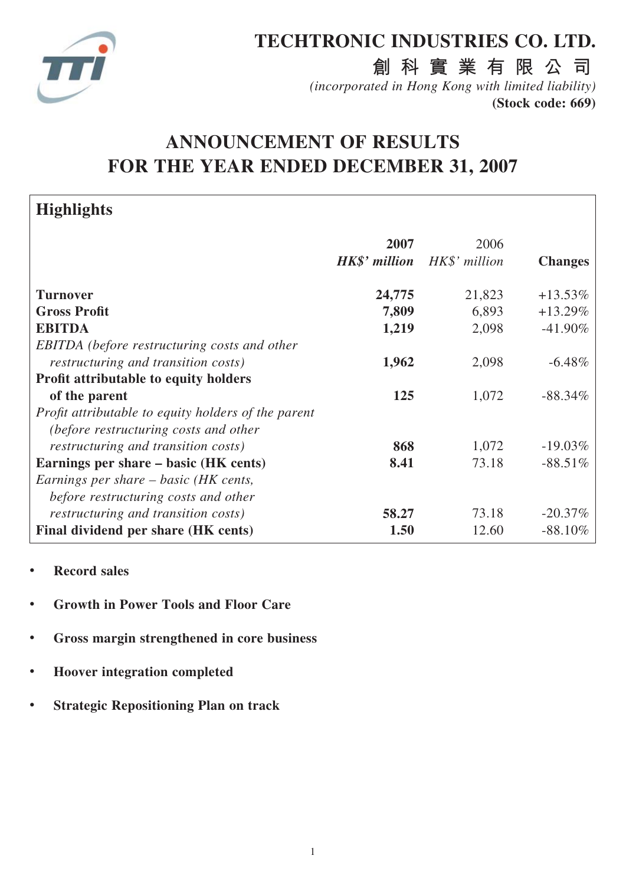

# **TECHTRONIC INDUSTRIES CO. LTD.**

**創科實業有限公司**

*(incorporated in Hong Kong with limited liability)* **(Stock code: 669)**

# **ANNOUNCEMENT OF RESULTS FOR THE YEAR ENDED DECEMBER 31, 2007**

| <b>Highlights</b>                                          |                      |               |                |
|------------------------------------------------------------|----------------------|---------------|----------------|
|                                                            | 2007                 | 2006          |                |
|                                                            | <b>HK\$'</b> million | HK\$' million | <b>Changes</b> |
| <b>Turnover</b>                                            | 24,775               | 21,823        | $+13.53\%$     |
| <b>Gross Profit</b>                                        | 7,809                | 6,893         | $+13.29\%$     |
| <b>EBITDA</b>                                              | 1,219                | 2,098         | $-41.90\%$     |
| <b>EBITDA</b> (before restructuring costs and other        |                      |               |                |
| <i>restructuring and transition costs)</i>                 | 1,962                | 2,098         | $-6.48\%$      |
| <b>Profit attributable to equity holders</b>               |                      |               |                |
| of the parent                                              | 125                  | 1,072         | $-88.34\%$     |
| <i>Profit attributable to equity holders of the parent</i> |                      |               |                |
| (before restructuring costs and other                      |                      |               |                |
| <i>restructuring and transition costs)</i>                 | 868                  | 1,072         | $-19.03\%$     |
| Earnings per share – basic (HK cents)                      | 8.41                 | 73.18         | $-88.51\%$     |
| Earnings per share – basic (HK cents,                      |                      |               |                |
| before restructuring costs and other                       |                      |               |                |
| <i>restructuring and transition costs)</i>                 | 58.27                | 73.18         | $-20.37\%$     |
| Final dividend per share (HK cents)                        | 1.50                 | 12.60         | $-88.10\%$     |

- **Record sales**
- **Growth in Power Tools and Floor Care**
- **Gross margin strengthened in core business**
- **Hoover integration completed**
- **Strategic Repositioning Plan on track**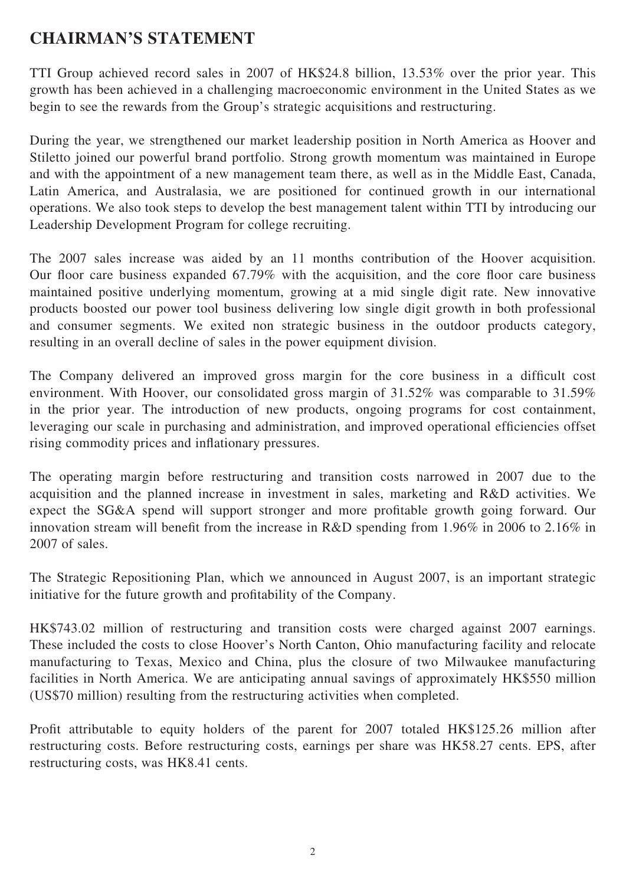# **CHAIRMAN'S STATEMENT**

TTI Group achieved record sales in 2007 of HK\$24.8 billion, 13.53% over the prior year. This growth has been achieved in a challenging macroeconomic environment in the United States as we begin to see the rewards from the Group's strategic acquisitions and restructuring.

During the year, we strengthened our market leadership position in North America as Hoover and Stiletto joined our powerful brand portfolio. Strong growth momentum was maintained in Europe and with the appointment of a new management team there, as well as in the Middle East, Canada, Latin America, and Australasia, we are positioned for continued growth in our international operations. We also took steps to develop the best management talent within TTI by introducing our Leadership Development Program for college recruiting.

The 2007 sales increase was aided by an 11 months contribution of the Hoover acquisition. Our floor care business expanded 67.79% with the acquisition, and the core floor care business maintained positive underlying momentum, growing at a mid single digit rate. New innovative products boosted our power tool business delivering low single digit growth in both professional and consumer segments. We exited non strategic business in the outdoor products category, resulting in an overall decline of sales in the power equipment division.

The Company delivered an improved gross margin for the core business in a difficult cost environment. With Hoover, our consolidated gross margin of 31.52% was comparable to 31.59% in the prior year. The introduction of new products, ongoing programs for cost containment, leveraging our scale in purchasing and administration, and improved operational efficiencies offset rising commodity prices and inflationary pressures.

The operating margin before restructuring and transition costs narrowed in 2007 due to the acquisition and the planned increase in investment in sales, marketing and R&D activities. We expect the SG&A spend will support stronger and more profitable growth going forward. Our innovation stream will benefit from the increase in R&D spending from 1.96% in 2006 to 2.16% in 2007 of sales.

The Strategic Repositioning Plan, which we announced in August 2007, is an important strategic initiative for the future growth and profitability of the Company.

HK\$743.02 million of restructuring and transition costs were charged against 2007 earnings. These included the costs to close Hoover's North Canton, Ohio manufacturing facility and relocate manufacturing to Texas, Mexico and China, plus the closure of two Milwaukee manufacturing facilities in North America. We are anticipating annual savings of approximately HK\$550 million (US\$70 million) resulting from the restructuring activities when completed.

Profit attributable to equity holders of the parent for 2007 totaled HK\$125.26 million after restructuring costs. Before restructuring costs, earnings per share was HK58.27 cents. EPS, after restructuring costs, was HK8.41 cents.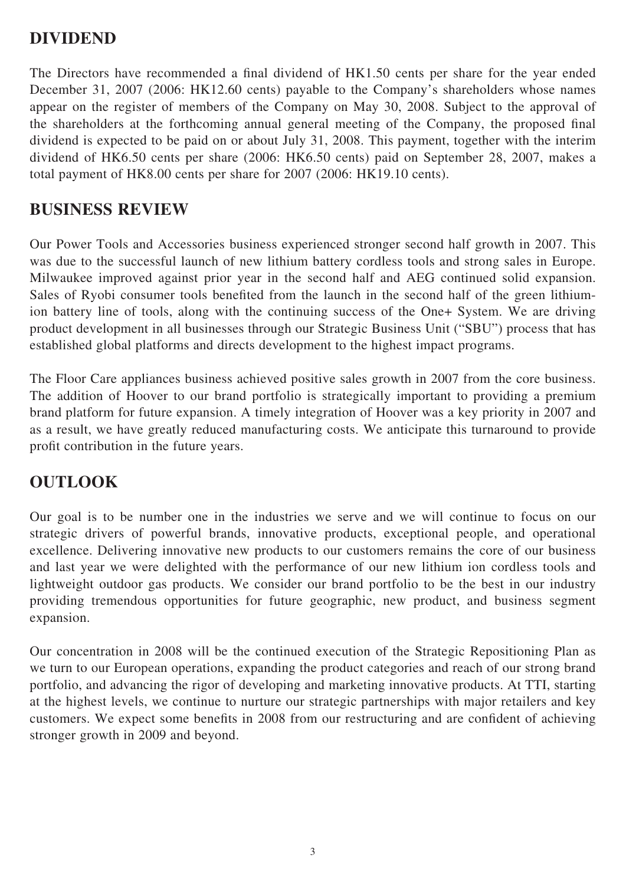## **DIVIDEND**

The Directors have recommended a final dividend of HK1.50 cents per share for the year ended December 31, 2007 (2006: HK12.60 cents) payable to the Company's shareholders whose names appear on the register of members of the Company on May 30, 2008. Subject to the approval of the shareholders at the forthcoming annual general meeting of the Company, the proposed final dividend is expected to be paid on or about July 31, 2008. This payment, together with the interim dividend of HK6.50 cents per share (2006: HK6.50 cents) paid on September 28, 2007, makes a total payment of HK8.00 cents per share for 2007 (2006: HK19.10 cents).

## **BUSINESS REVIEW**

Our Power Tools and Accessories business experienced stronger second half growth in 2007. This was due to the successful launch of new lithium battery cordless tools and strong sales in Europe. Milwaukee improved against prior year in the second half and AEG continued solid expansion. Sales of Ryobi consumer tools benefited from the launch in the second half of the green lithiumion battery line of tools, along with the continuing success of the One+ System. We are driving product development in all businesses through our Strategic Business Unit ("SBU") process that has established global platforms and directs development to the highest impact programs.

The Floor Care appliances business achieved positive sales growth in 2007 from the core business. The addition of Hoover to our brand portfolio is strategically important to providing a premium brand platform for future expansion. A timely integration of Hoover was a key priority in 2007 and as a result, we have greatly reduced manufacturing costs. We anticipate this turnaround to provide profit contribution in the future years.

## **OUTLOOK**

Our goal is to be number one in the industries we serve and we will continue to focus on our strategic drivers of powerful brands, innovative products, exceptional people, and operational excellence. Delivering innovative new products to our customers remains the core of our business and last year we were delighted with the performance of our new lithium ion cordless tools and lightweight outdoor gas products. We consider our brand portfolio to be the best in our industry providing tremendous opportunities for future geographic, new product, and business segment expansion.

Our concentration in 2008 will be the continued execution of the Strategic Repositioning Plan as we turn to our European operations, expanding the product categories and reach of our strong brand portfolio, and advancing the rigor of developing and marketing innovative products. At TTI, starting at the highest levels, we continue to nurture our strategic partnerships with major retailers and key customers. We expect some benefits in 2008 from our restructuring and are confident of achieving stronger growth in 2009 and beyond.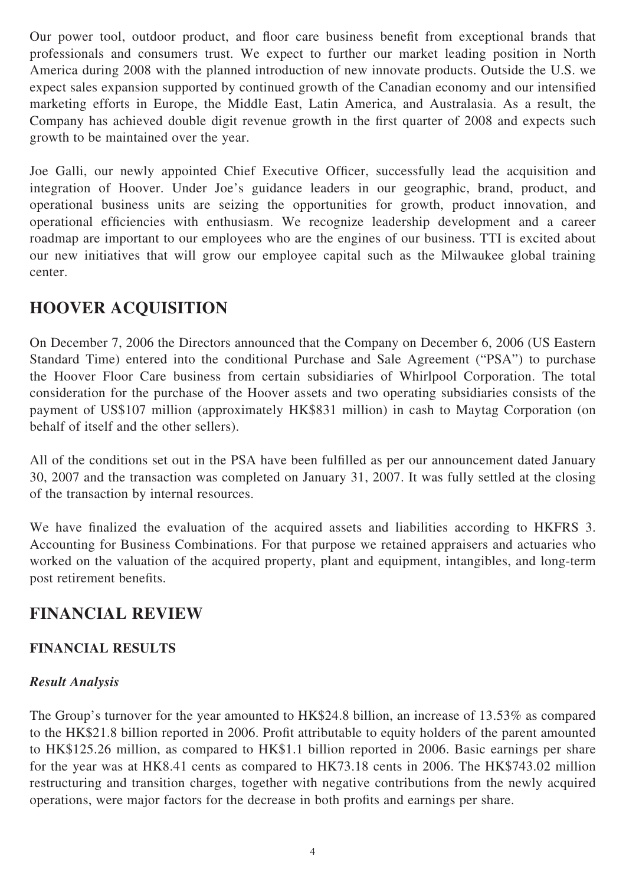Our power tool, outdoor product, and floor care business benefit from exceptional brands that professionals and consumers trust. We expect to further our market leading position in North America during 2008 with the planned introduction of new innovate products. Outside the U.S. we expect sales expansion supported by continued growth of the Canadian economy and our intensified marketing efforts in Europe, the Middle East, Latin America, and Australasia. As a result, the Company has achieved double digit revenue growth in the first quarter of 2008 and expects such growth to be maintained over the year.

Joe Galli, our newly appointed Chief Executive Officer, successfully lead the acquisition and integration of Hoover. Under Joe's guidance leaders in our geographic, brand, product, and operational business units are seizing the opportunities for growth, product innovation, and operational efficiencies with enthusiasm. We recognize leadership development and a career roadmap are important to our employees who are the engines of our business. TTI is excited about our new initiatives that will grow our employee capital such as the Milwaukee global training center.

# **HOOVER ACQUISITION**

On December 7, 2006 the Directors announced that the Company on December 6, 2006 (US Eastern Standard Time) entered into the conditional Purchase and Sale Agreement ("PSA") to purchase the Hoover Floor Care business from certain subsidiaries of Whirlpool Corporation. The total consideration for the purchase of the Hoover assets and two operating subsidiaries consists of the payment of US\$107 million (approximately HK\$831 million) in cash to Maytag Corporation (on behalf of itself and the other sellers).

All of the conditions set out in the PSA have been fulfilled as per our announcement dated January 30, 2007 and the transaction was completed on January 31, 2007. It was fully settled at the closing of the transaction by internal resources.

We have finalized the evaluation of the acquired assets and liabilities according to HKFRS 3. Accounting for Business Combinations. For that purpose we retained appraisers and actuaries who worked on the valuation of the acquired property, plant and equipment, intangibles, and long-term post retirement benefits.

# **FINANCIAL REVIEW**

### **FINANCIAL RESULTS**

### *Result Analysis*

The Group's turnover for the year amounted to HK\$24.8 billion, an increase of 13.53% as compared to the HK\$21.8 billion reported in 2006. Profit attributable to equity holders of the parent amounted to HK\$125.26 million, as compared to HK\$1.1 billion reported in 2006. Basic earnings per share for the year was at HK8.41 cents as compared to HK73.18 cents in 2006. The HK\$743.02 million restructuring and transition charges, together with negative contributions from the newly acquired operations, were major factors for the decrease in both profits and earnings per share.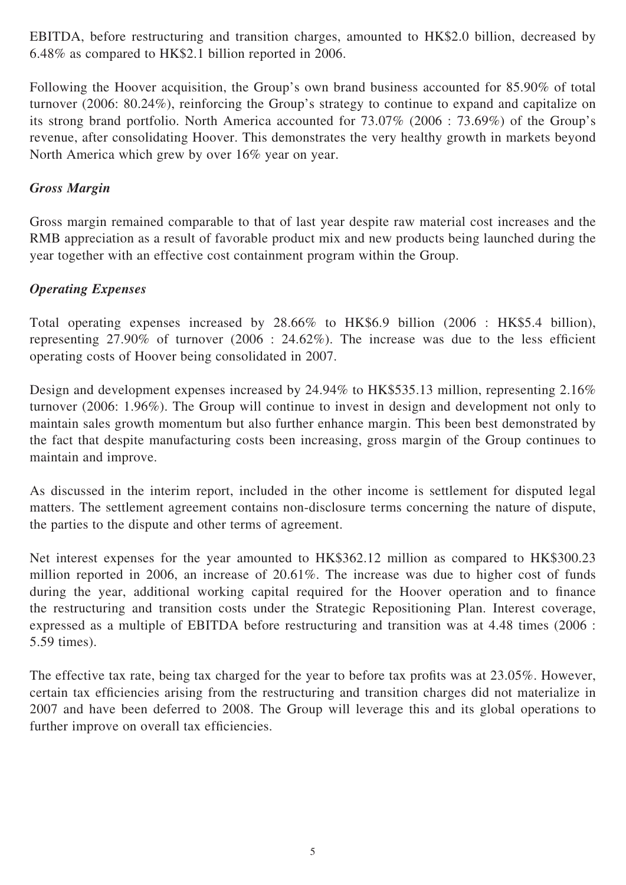EBITDA, before restructuring and transition charges, amounted to HK\$2.0 billion, decreased by 6.48% as compared to HK\$2.1 billion reported in 2006.

Following the Hoover acquisition, the Group's own brand business accounted for 85.90% of total turnover (2006: 80.24%), reinforcing the Group's strategy to continue to expand and capitalize on its strong brand portfolio. North America accounted for 73.07% (2006 : 73.69%) of the Group's revenue, after consolidating Hoover. This demonstrates the very healthy growth in markets beyond North America which grew by over 16% year on year.

### *Gross Margin*

Gross margin remained comparable to that of last year despite raw material cost increases and the RMB appreciation as a result of favorable product mix and new products being launched during the year together with an effective cost containment program within the Group.

### *Operating Expenses*

Total operating expenses increased by 28.66% to HK\$6.9 billion (2006 : HK\$5.4 billion), representing  $27.90\%$  of turnover  $(2006 : 24.62\%)$ . The increase was due to the less efficient operating costs of Hoover being consolidated in 2007.

Design and development expenses increased by 24.94% to HK\$535.13 million, representing 2.16% turnover (2006: 1.96%). The Group will continue to invest in design and development not only to maintain sales growth momentum but also further enhance margin. This been best demonstrated by the fact that despite manufacturing costs been increasing, gross margin of the Group continues to maintain and improve.

As discussed in the interim report, included in the other income is settlement for disputed legal matters. The settlement agreement contains non-disclosure terms concerning the nature of dispute, the parties to the dispute and other terms of agreement.

Net interest expenses for the year amounted to HK\$362.12 million as compared to HK\$300.23 million reported in 2006, an increase of 20.61%. The increase was due to higher cost of funds during the year, additional working capital required for the Hoover operation and to finance the restructuring and transition costs under the Strategic Repositioning Plan. Interest coverage, expressed as a multiple of EBITDA before restructuring and transition was at 4.48 times (2006 : 5.59 times).

The effective tax rate, being tax charged for the year to before tax profits was at  $23.05\%$ . However, certain tax efficiencies arising from the restructuring and transition charges did not materialize in 2007 and have been deferred to 2008. The Group will leverage this and its global operations to further improve on overall tax efficiencies.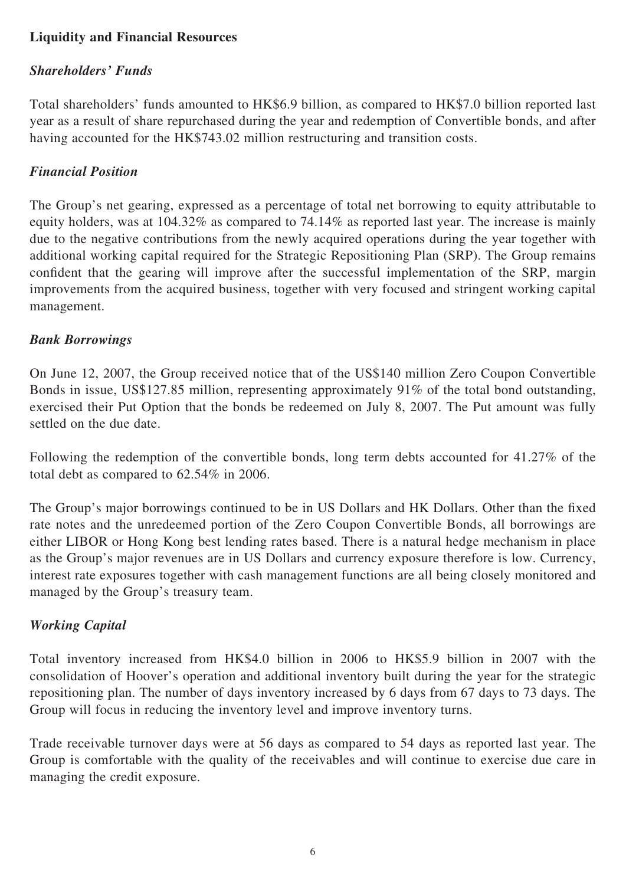## **Liquidity and Financial Resources**

### *Shareholders' Funds*

Total shareholders' funds amounted to HK\$6.9 billion, as compared to HK\$7.0 billion reported last year as a result of share repurchased during the year and redemption of Convertible bonds, and after having accounted for the HK\$743.02 million restructuring and transition costs.

#### *Financial Position*

The Group's net gearing, expressed as a percentage of total net borrowing to equity attributable to equity holders, was at 104.32% as compared to 74.14% as reported last year. The increase is mainly due to the negative contributions from the newly acquired operations during the year together with additional working capital required for the Strategic Repositioning Plan (SRP). The Group remains confident that the gearing will improve after the successful implementation of the SRP, margin improvements from the acquired business, together with very focused and stringent working capital management.

#### *Bank Borrowings*

On June 12, 2007, the Group received notice that of the US\$140 million Zero Coupon Convertible Bonds in issue, US\$127.85 million, representing approximately 91% of the total bond outstanding, exercised their Put Option that the bonds be redeemed on July 8, 2007. The Put amount was fully settled on the due date.

Following the redemption of the convertible bonds, long term debts accounted for 41.27% of the total debt as compared to 62.54% in 2006.

The Group's major borrowings continued to be in US Dollars and HK Dollars. Other than the fixed rate notes and the unredeemed portion of the Zero Coupon Convertible Bonds, all borrowings are either LIBOR or Hong Kong best lending rates based. There is a natural hedge mechanism in place as the Group's major revenues are in US Dollars and currency exposure therefore is low. Currency, interest rate exposures together with cash management functions are all being closely monitored and managed by the Group's treasury team.

#### *Working Capital*

Total inventory increased from HK\$4.0 billion in 2006 to HK\$5.9 billion in 2007 with the consolidation of Hoover's operation and additional inventory built during the year for the strategic repositioning plan. The number of days inventory increased by 6 days from 67 days to 73 days. The Group will focus in reducing the inventory level and improve inventory turns.

Trade receivable turnover days were at 56 days as compared to 54 days as reported last year. The Group is comfortable with the quality of the receivables and will continue to exercise due care in managing the credit exposure.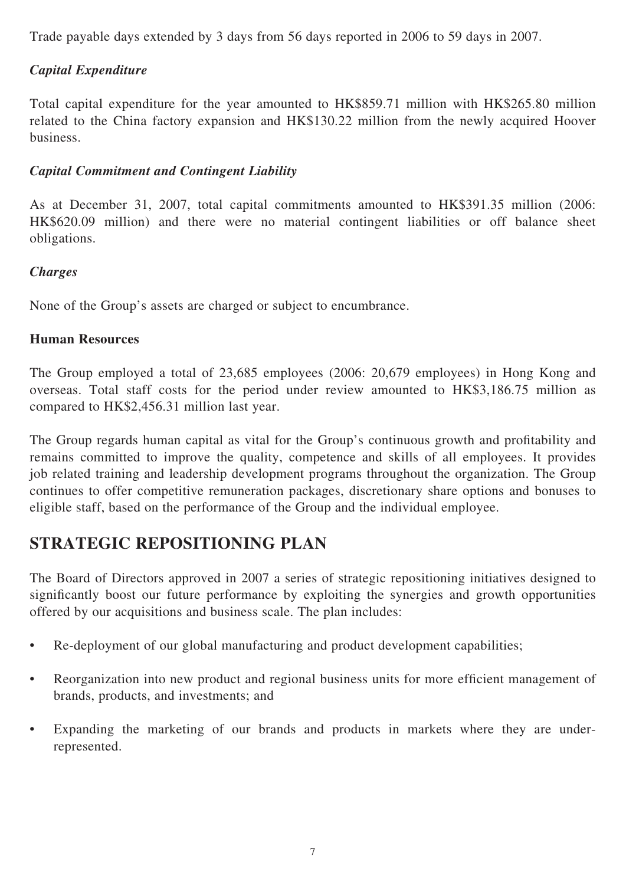Trade payable days extended by 3 days from 56 days reported in 2006 to 59 days in 2007.

## *Capital Expenditure*

Total capital expenditure for the year amounted to HK\$859.71 million with HK\$265.80 million related to the China factory expansion and HK\$130.22 million from the newly acquired Hoover business.

### *Capital Commitment and Contingent Liability*

As at December 31, 2007, total capital commitments amounted to HK\$391.35 million (2006: HK\$620.09 million) and there were no material contingent liabilities or off balance sheet obligations.

### *Charges*

None of the Group's assets are charged or subject to encumbrance.

### **Human Resources**

The Group employed a total of 23,685 employees (2006: 20,679 employees) in Hong Kong and overseas. Total staff costs for the period under review amounted to HK\$3,186.75 million as compared to HK\$2,456.31 million last year.

The Group regards human capital as vital for the Group's continuous growth and profitability and remains committed to improve the quality, competence and skills of all employees. It provides job related training and leadership development programs throughout the organization. The Group continues to offer competitive remuneration packages, discretionary share options and bonuses to eligible staff, based on the performance of the Group and the individual employee.

# **STRATEGIC REPOSITIONING PLAN**

The Board of Directors approved in 2007 a series of strategic repositioning initiatives designed to significantly boost our future performance by exploiting the synergies and growth opportunities offered by our acquisitions and business scale. The plan includes:

- Re-deployment of our global manufacturing and product development capabilities;
- Reorganization into new product and regional business units for more efficient management of brands, products, and investments; and
- Expanding the marketing of our brands and products in markets where they are underrepresented.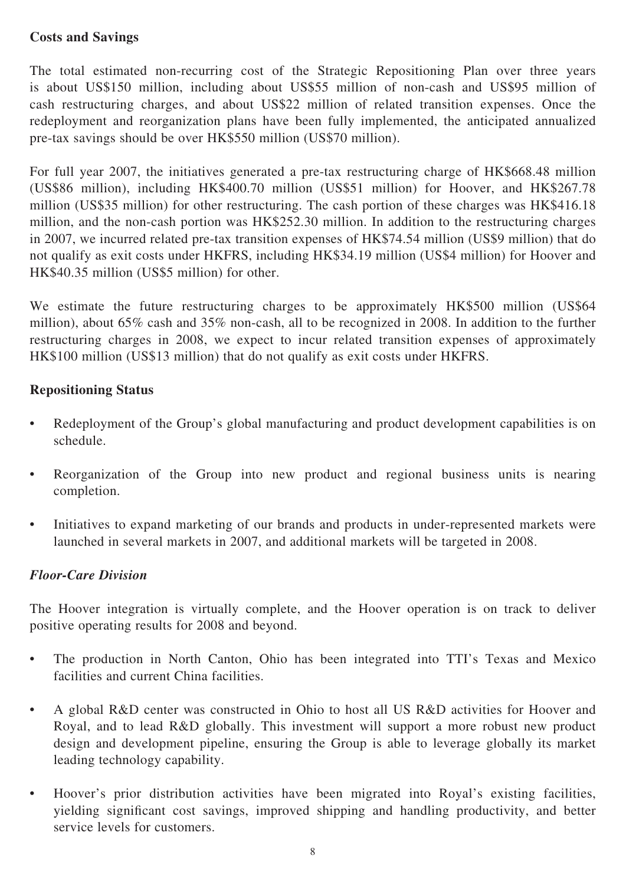### **Costs and Savings**

The total estimated non-recurring cost of the Strategic Repositioning Plan over three years is about US\$150 million, including about US\$55 million of non-cash and US\$95 million of cash restructuring charges, and about US\$22 million of related transition expenses. Once the redeployment and reorganization plans have been fully implemented, the anticipated annualized pre-tax savings should be over HK\$550 million (US\$70 million).

For full year 2007, the initiatives generated a pre-tax restructuring charge of HK\$668.48 million (US\$86 million), including HK\$400.70 million (US\$51 million) for Hoover, and HK\$267.78 million (US\$35 million) for other restructuring. The cash portion of these charges was HK\$416.18 million, and the non-cash portion was HK\$252.30 million. In addition to the restructuring charges in 2007, we incurred related pre-tax transition expenses of HK\$74.54 million (US\$9 million) that do not qualify as exit costs under HKFRS, including HK\$34.19 million (US\$4 million) for Hoover and HK\$40.35 million (US\$5 million) for other.

We estimate the future restructuring charges to be approximately HK\$500 million (US\$64 million), about 65% cash and 35% non-cash, all to be recognized in 2008. In addition to the further restructuring charges in 2008, we expect to incur related transition expenses of approximately HK\$100 million (US\$13 million) that do not qualify as exit costs under HKFRS.

### **Repositioning Status**

- Redeployment of the Group's global manufacturing and product development capabilities is on schedule.
- Reorganization of the Group into new product and regional business units is nearing completion.
- Initiatives to expand marketing of our brands and products in under-represented markets were launched in several markets in 2007, and additional markets will be targeted in 2008.

### *Floor-Care Division*

The Hoover integration is virtually complete, and the Hoover operation is on track to deliver positive operating results for 2008 and beyond.

- The production in North Canton, Ohio has been integrated into TTI's Texas and Mexico facilities and current China facilities.
- A global R&D center was constructed in Ohio to host all US R&D activities for Hoover and Royal, and to lead R&D globally. This investment will support a more robust new product design and development pipeline, ensuring the Group is able to leverage globally its market leading technology capability.
- Hoover's prior distribution activities have been migrated into Royal's existing facilities, yielding significant cost savings, improved shipping and handling productivity, and better service levels for customers.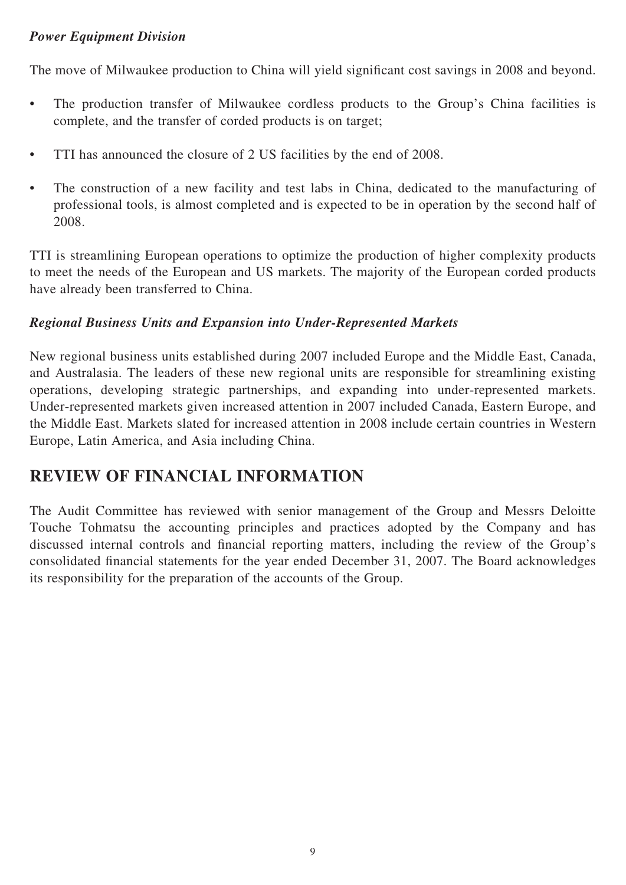### *Power Equipment Division*

The move of Milwaukee production to China will yield significant cost savings in 2008 and beyond.

- The production transfer of Milwaukee cordless products to the Group's China facilities is complete, and the transfer of corded products is on target;
- TTI has announced the closure of 2 US facilities by the end of 2008.
- The construction of a new facility and test labs in China, dedicated to the manufacturing of professional tools, is almost completed and is expected to be in operation by the second half of 2008.

TTI is streamlining European operations to optimize the production of higher complexity products to meet the needs of the European and US markets. The majority of the European corded products have already been transferred to China.

### *Regional Business Units and Expansion into Under-Represented Markets*

New regional business units established during 2007 included Europe and the Middle East, Canada, and Australasia. The leaders of these new regional units are responsible for streamlining existing operations, developing strategic partnerships, and expanding into under-represented markets. Under-represented markets given increased attention in 2007 included Canada, Eastern Europe, and the Middle East. Markets slated for increased attention in 2008 include certain countries in Western Europe, Latin America, and Asia including China.

# **REVIEW OF FINANCIAL INFORMATION**

The Audit Committee has reviewed with senior management of the Group and Messrs Deloitte Touche Tohmatsu the accounting principles and practices adopted by the Company and has discussed internal controls and financial reporting matters, including the review of the Group's consolidated financial statements for the year ended December 31, 2007. The Board acknowledges its responsibility for the preparation of the accounts of the Group.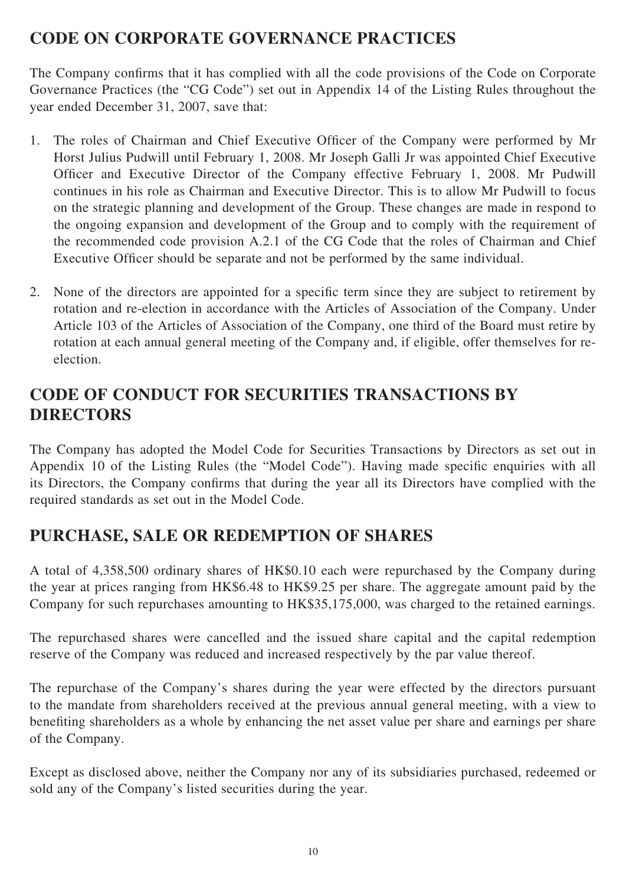# **CODE ON CORPORATE GOVERNANCE PRACTICES**

The Company confirms that it has complied with all the code provisions of the Code on Corporate Governance Practices (the "CG Code") set out in Appendix 14 of the Listing Rules throughout the year ended December 31, 2007, save that:

- 1. The roles of Chairman and Chief Executive Officer of the Company were performed by Mr Horst Julius Pudwill until February 1, 2008. Mr Joseph Galli Jr was appointed Chief Executive Officer and Executive Director of the Company effective February 1, 2008. Mr Pudwill continues in his role as Chairman and Executive Director. This is to allow Mr Pudwill to focus on the strategic planning and development of the Group. These changes are made in respond to the ongoing expansion and development of the Group and to comply with the requirement of the recommended code provision A.2.1 of the CG Code that the roles of Chairman and Chief Executive Officer should be separate and not be performed by the same individual.
- 2. None of the directors are appointed for a specific term since they are subject to retirement by rotation and re-election in accordance with the Articles of Association of the Company. Under Article 103 of the Articles of Association of the Company, one third of the Board must retire by rotation at each annual general meeting of the Company and, if eligible, offer themselves for reelection.

# **CODE OF CONDUCT FOR SECURITIES TRANSACTIONS BY DIRECTORS**

The Company has adopted the Model Code for Securities Transactions by Directors as set out in Appendix 10 of the Listing Rules (the "Model Code"). Having made specific enquiries with all its Directors, the Company confirms that during the year all its Directors have complied with the required standards as set out in the Model Code.

# **PURCHASE, SALE OR REDEMPTION OF SHARES**

A total of 4,358,500 ordinary shares of HK\$0.10 each were repurchased by the Company during the year at prices ranging from HK\$6.48 to HK\$9.25 per share. The aggregate amount paid by the Company for such repurchases amounting to HK\$35,175,000, was charged to the retained earnings.

The repurchased shares were cancelled and the issued share capital and the capital redemption reserve of the Company was reduced and increased respectively by the par value thereof.

The repurchase of the Company's shares during the year were effected by the directors pursuant to the mandate from shareholders received at the previous annual general meeting, with a view to benefiting shareholders as a whole by enhancing the net asset value per share and earnings per share of the Company.

Except as disclosed above, neither the Company nor any of its subsidiaries purchased, redeemed or sold any of the Company's listed securities during the year.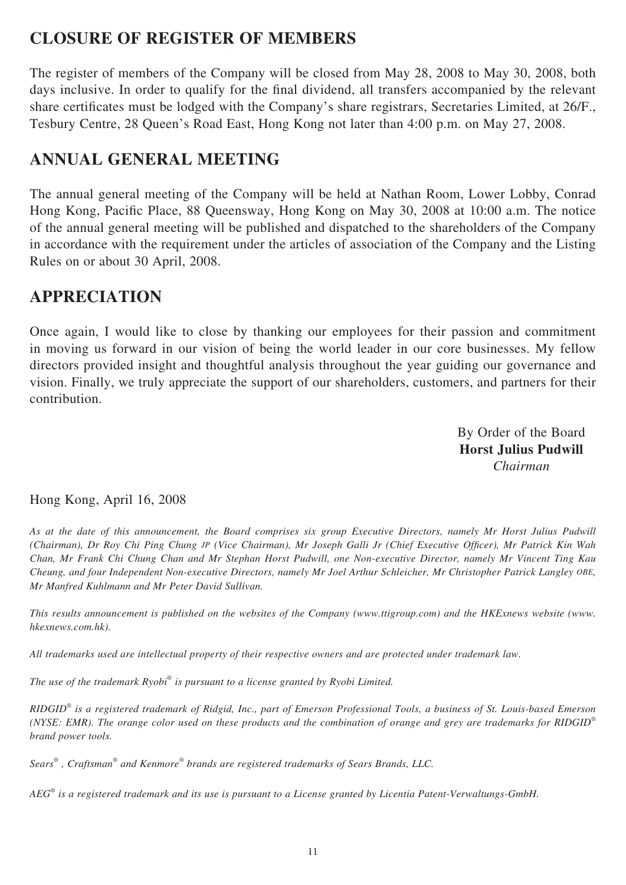# **CLOSURE OF REGISTER OF MEMBERS**

The register of members of the Company will be closed from May 28, 2008 to May 30, 2008, both days inclusive. In order to qualify for the final dividend, all transfers accompanied by the relevant share certificates must be lodged with the Company's share registrars, Secretaries Limited, at 26/F., Tesbury Centre, 28 Queen's Road East, Hong Kong not later than 4:00 p.m. on May 27, 2008.

# **ANNUAL GENERAL MEETING**

The annual general meeting of the Company will be held at Nathan Room, Lower Lobby, Conrad Hong Kong, Pacific Place, 88 Queensway, Hong Kong on May 30, 2008 at 10:00 a.m. The notice of the annual general meeting will be published and dispatched to the shareholders of the Company in accordance with the requirement under the articles of association of the Company and the Listing Rules on or about 30 April, 2008.

## **APPRECIATION**

Once again, I would like to close by thanking our employees for their passion and commitment in moving us forward in our vision of being the world leader in our core businesses. My fellow directors provided insight and thoughtful analysis throughout the year guiding our governance and vision. Finally, we truly appreciate the support of our shareholders, customers, and partners for their contribution.

> By Order of the Board **Horst Julius Pudwill** *Chairman*

Hong Kong, April 16, 2008

*As at the date of this announcement, the Board comprises six group Executive Directors, namely Mr Horst Julius Pudwill (Chairman), Dr Roy Chi Ping Chung JP (Vice Chairman), Mr Joseph Galli Jr (Chief Executive Officer), Mr Patrick Kin Wah Chan, Mr Frank Chi Chung Chan and Mr Stephan Horst Pudwill, one Non-executive Director, namely Mr Vincent Ting Kau Cheung, and four Independent Non-executive Directors, namely Mr Joel Arthur Schleicher, Mr Christopher Patrick Langley OBE, Mr Manfred Kuhlmann and Mr Peter David Sullivan.*

*This results announcement is published on the websites of the Company (www.ttigroup.com) and the HKExnews website (www. hkexnews.com.hk).* 

*All trademarks used are intellectual property of their respective owners and are protected under trademark law.* 

*The use of the trademark Ryobi® is pursuant to a license granted by Ryobi Limited.*

*RIDGID® is a registered trademark of Ridgid, Inc., part of Emerson Professional Tools, a business of St. Louis-based Emerson (NYSE: EMR). The orange color used on these products and the combination of orange and grey are trademarks for RIDGID® brand power tools.*

*Sears® , Craftsman® and Kenmore® brands are registered trademarks of Sears Brands, LLC.*

*AEG® is a registered trademark and its use is pursuant to a License granted by Licentia Patent-Verwaltungs-GmbH.*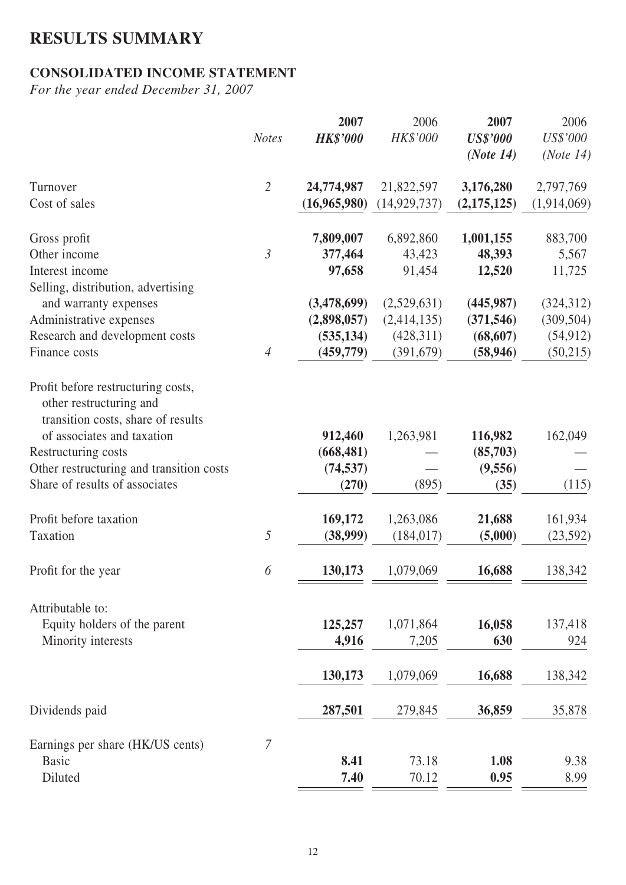# **RESULTS SUMMARY**

## **CONSOLIDATED INCOME STATEMENT**

*For the year ended December 31, 2007*

|                                                                                                     |                | 2007            | 2006           | 2007            | 2006        |
|-----------------------------------------------------------------------------------------------------|----------------|-----------------|----------------|-----------------|-------------|
|                                                                                                     | <b>Notes</b>   | <b>HK\$'000</b> | HK\$'000       | <b>US\$'000</b> | US\$'000    |
|                                                                                                     |                |                 |                | (Note 14)       | (Note 14)   |
| Turnover                                                                                            | $\overline{2}$ | 24,774,987      | 21,822,597     | 3,176,280       | 2,797,769   |
| Cost of sales                                                                                       |                | (16,965,980)    | (14, 929, 737) | (2, 175, 125)   | (1,914,069) |
| Gross profit                                                                                        |                | 7,809,007       | 6,892,860      | 1,001,155       | 883,700     |
| Other income                                                                                        | $\mathfrak{Z}$ | 377,464         | 43,423         | 48,393          | 5,567       |
| Interest income                                                                                     |                | 97,658          | 91,454         | 12,520          | 11,725      |
| Selling, distribution, advertising                                                                  |                |                 |                |                 |             |
| and warranty expenses                                                                               |                | (3,478,699)     | (2,529,631)    | (445, 987)      | (324,312)   |
| Administrative expenses                                                                             |                | (2,898,057)     | (2,414,135)    | (371, 546)      | (309, 504)  |
| Research and development costs                                                                      | $\overline{4}$ | (535, 134)      | (428,311)      | (68, 607)       | (54, 912)   |
| Finance costs                                                                                       |                | (459, 779)      | (391, 679)     | (58, 946)       | (50,215)    |
| Profit before restructuring costs,<br>other restructuring and<br>transition costs, share of results |                |                 |                |                 |             |
| of associates and taxation                                                                          |                | 912,460         | 1,263,981      | 116,982         | 162,049     |
| Restructuring costs                                                                                 |                | (668, 481)      |                | (85,703)        |             |
| Other restructuring and transition costs                                                            |                | (74, 537)       |                | (9,556)         |             |
| Share of results of associates                                                                      |                | (270)           | (895)          | (35)            | (115)       |
| Profit before taxation                                                                              |                | 169,172         | 1,263,086      | 21,688          | 161,934     |
| Taxation                                                                                            | 5              | (38,999)        | (184, 017)     | (5,000)         | (23, 592)   |
|                                                                                                     |                |                 |                |                 |             |
| Profit for the year                                                                                 | 6              | 130,173         | 1,079,069      | 16,688          | 138,342     |
| Attributable to:                                                                                    |                |                 |                |                 |             |
| Equity holders of the parent                                                                        |                | 125,257         | 1,071,864      | 16,058          | 137,418     |
| Minority interests                                                                                  |                | 4,916           | 7,205          | 630             | 924         |
|                                                                                                     |                |                 |                |                 |             |
|                                                                                                     |                | 130,173         | 1,079,069      | 16,688          | 138,342     |
| Dividends paid                                                                                      |                | 287,501         | 279,845        | 36,859          | 35,878      |
| Earnings per share (HK/US cents)                                                                    | 7              |                 |                |                 |             |
| <b>Basic</b>                                                                                        |                | 8.41            | 73.18          | 1.08            | 9.38        |
| Diluted                                                                                             |                | 7.40            | 70.12          | 0.95            | 8.99        |
|                                                                                                     |                |                 |                |                 |             |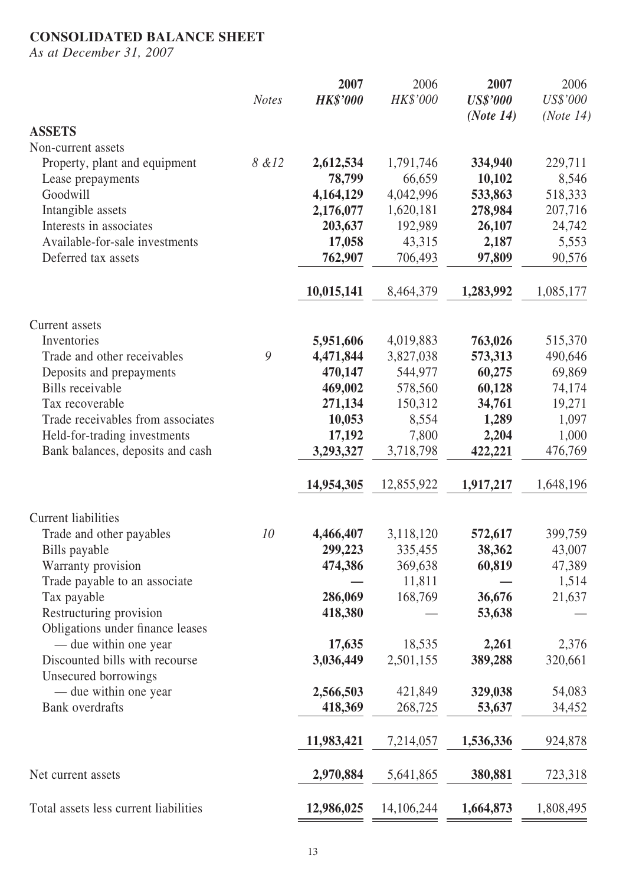## **CONSOLIDATED BALANCE SHEET**

*As at December 31, 2007*

|                                                             | <b>Notes</b> | 2007<br><b>HK\$'000</b> | 2006<br>HK\$'000 | 2007<br><b>US\$'000</b> | 2006<br>US\$'000 |
|-------------------------------------------------------------|--------------|-------------------------|------------------|-------------------------|------------------|
| <b>ASSETS</b>                                               |              |                         |                  | (Note 14)               | (Note 14)        |
| Non-current assets                                          |              |                         |                  |                         |                  |
| Property, plant and equipment                               | 8 & 12       | 2,612,534               | 1,791,746        | 334,940                 | 229,711          |
| Lease prepayments                                           |              | 78,799                  | 66,659           | 10,102                  | 8,546            |
| Goodwill                                                    |              | 4,164,129               | 4,042,996        | 533,863                 | 518,333          |
| Intangible assets                                           |              | 2,176,077               | 1,620,181        | 278,984                 | 207,716          |
| Interests in associates                                     |              | 203,637                 | 192,989          | 26,107                  | 24,742           |
| Available-for-sale investments                              |              | 17,058                  | 43,315           | 2,187                   | 5,553            |
| Deferred tax assets                                         |              | 762,907                 | 706,493          | 97,809                  | 90,576           |
|                                                             |              | 10,015,141              | 8,464,379        | 1,283,992               | 1,085,177        |
| Current assets                                              |              |                         |                  |                         |                  |
| Inventories                                                 |              | 5,951,606               | 4,019,883        | 763,026                 | 515,370          |
| Trade and other receivables                                 | 9            | 4,471,844               | 3,827,038        | 573,313                 | 490,646          |
| Deposits and prepayments                                    |              | 470,147                 | 544,977          | 60,275                  | 69,869           |
| Bills receivable                                            |              | 469,002                 | 578,560          | 60,128                  | 74,174           |
| Tax recoverable                                             |              | 271,134                 | 150,312          | 34,761                  | 19,271           |
| Trade receivables from associates                           |              | 10,053                  | 8,554            | 1,289                   | 1,097            |
| Held-for-trading investments                                |              | 17,192                  | 7,800            | 2,204                   | 1,000            |
| Bank balances, deposits and cash                            |              | 3,293,327               | 3,718,798        | 422,221                 | 476,769          |
|                                                             |              | 14,954,305              | 12,855,922       | 1,917,217               | 1,648,196        |
| <b>Current liabilities</b>                                  |              |                         |                  |                         |                  |
| Trade and other payables                                    | 10           | 4,466,407               | 3,118,120        | 572,617                 | 399,759          |
| Bills payable                                               |              | 299,223                 | 335,455          | 38,362                  | 43,007           |
| Warranty provision                                          |              | 474,386                 | 369,638          | 60,819                  | 47,389           |
| Trade payable to an associate                               |              |                         | 11,811           |                         | 1,514            |
| Tax payable                                                 |              | 286,069                 | 168,769          | 36,676                  | 21,637           |
| Restructuring provision<br>Obligations under finance leases |              | 418,380                 |                  | 53,638                  |                  |
| — due within one year                                       |              | 17,635                  | 18,535           | 2,261                   | 2,376            |
| Discounted bills with recourse<br>Unsecured borrowings      |              | 3,036,449               | 2,501,155        | 389,288                 | 320,661          |
| — due within one year                                       |              | 2,566,503               | 421,849          | 329,038                 | 54,083           |
| <b>Bank</b> overdrafts                                      |              | 418,369                 | 268,725          | 53,637                  | 34,452           |
|                                                             |              | 11,983,421              | 7,214,057        | 1,536,336               | 924,878          |
| Net current assets                                          |              | 2,970,884               | 5,641,865        | 380,881                 | 723,318          |
| Total assets less current liabilities                       |              | 12,986,025              | 14,106,244       | 1,664,873               | 1,808,495        |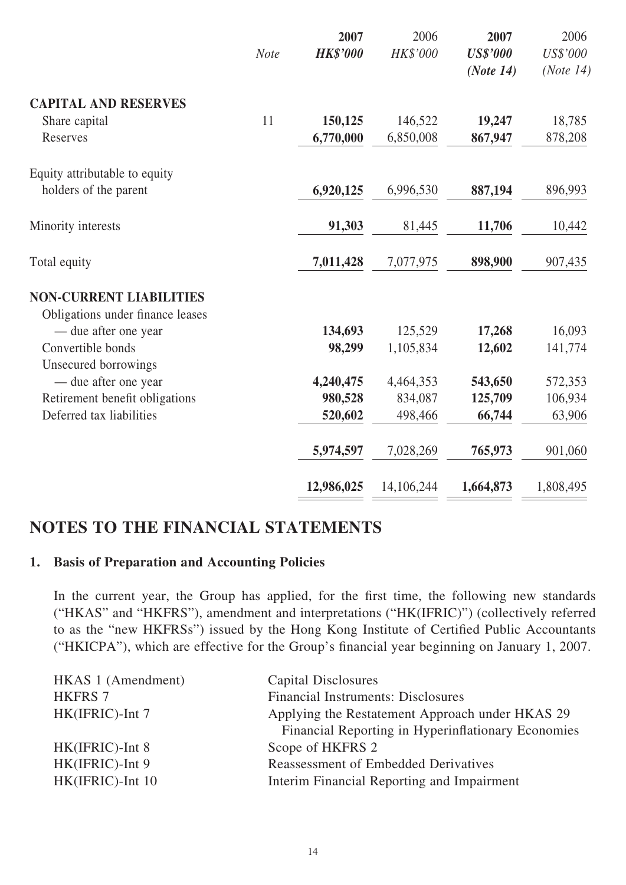|                                              | <b>Note</b> | 2007<br><b>HK\$'000</b> | 2006<br>HK\$'000 | 2007<br><b>US\$'000</b><br>(Note 14) | 2006<br>US\$'000<br>(Note 14) |
|----------------------------------------------|-------------|-------------------------|------------------|--------------------------------------|-------------------------------|
| <b>CAPITAL AND RESERVES</b>                  |             |                         |                  |                                      |                               |
| Share capital                                | 11          | 150,125                 | 146,522          | 19,247                               | 18,785                        |
| Reserves                                     |             | 6,770,000               | 6,850,008        | 867,947                              | 878,208                       |
| Equity attributable to equity                |             |                         |                  |                                      |                               |
| holders of the parent                        |             | 6,920,125               | 6,996,530        | 887,194                              | 896,993                       |
| Minority interests                           |             | 91,303                  | 81,445           | 11,706                               | 10,442                        |
| Total equity                                 |             | 7,011,428               | 7,077,975        | 898,900                              | 907,435                       |
| <b>NON-CURRENT LIABILITIES</b>               |             |                         |                  |                                      |                               |
| Obligations under finance leases             |             |                         |                  |                                      |                               |
| - due after one year                         |             | 134,693                 | 125,529          | 17,268                               | 16,093                        |
| Convertible bonds                            |             | 98,299                  | 1,105,834        | 12,602                               | 141,774                       |
| Unsecured borrowings<br>— due after one year |             | 4,240,475               | 4,464,353        | 543,650                              | 572,353                       |
| Retirement benefit obligations               |             | 980,528                 | 834,087          | 125,709                              | 106,934                       |
| Deferred tax liabilities                     |             | 520,602                 | 498,466          | 66,744                               | 63,906                        |
|                                              |             | 5,974,597               | 7,028,269        | 765,973                              | 901,060                       |
|                                              |             | 12,986,025              | 14,106,244       | 1,664,873                            | 1,808,495                     |

# **NOTES TO THE FINANCIAL STATEMENTS**

## **1. Basis of Preparation and Accounting Policies**

In the current year, the Group has applied, for the first time, the following new standards ("HKAS" and "HKFRS"), amendment and interpretations ("HK(IFRIC)") (collectively referred to as the "new HKFRSs") issued by the Hong Kong Institute of Certified Public Accountants ("HKICPA"), which are effective for the Group's financial year beginning on January 1, 2007.

| HKAS 1 (Amendment) | Capital Disclosures                                |
|--------------------|----------------------------------------------------|
| <b>HKFRS 7</b>     | <b>Financial Instruments: Disclosures</b>          |
| HK(IFRIC)-Int 7    | Applying the Restatement Approach under HKAS 29    |
|                    | Financial Reporting in Hyperinflationary Economies |
| HK(IFRIC)-Int 8    | Scope of HKFRS 2                                   |
| HK(IFRIC)-Int 9    | <b>Reassessment of Embedded Derivatives</b>        |
| HK(IFRIC)-Int 10   | Interim Financial Reporting and Impairment         |
|                    |                                                    |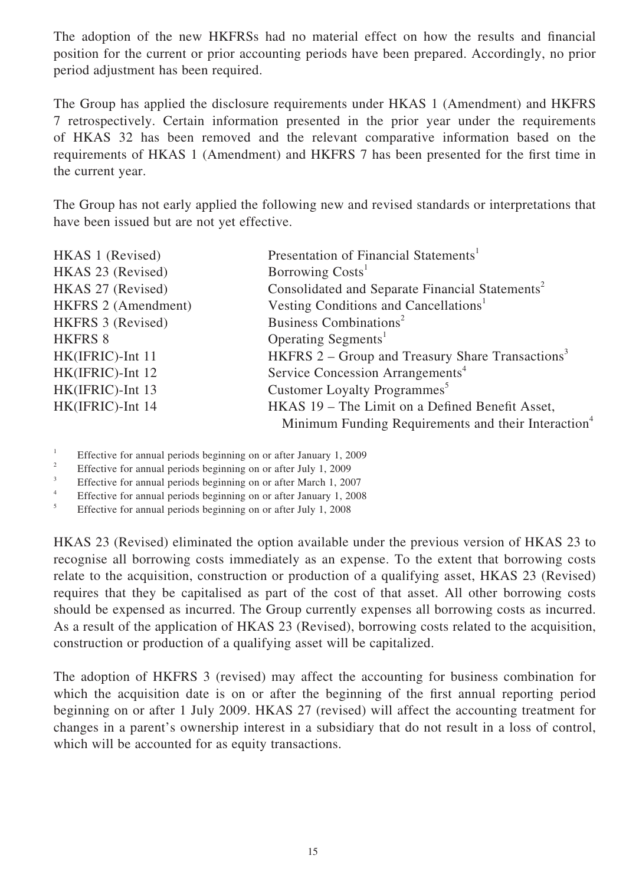The adoption of the new HKFRSs had no material effect on how the results and financial position for the current or prior accounting periods have been prepared. Accordingly, no prior period adjustment has been required.

The Group has applied the disclosure requirements under HKAS 1 (Amendment) and HKFRS 7 retrospectively. Certain information presented in the prior year under the requirements of HKAS 32 has been removed and the relevant comparative information based on the requirements of HKAS 1 (Amendment) and HKFRS 7 has been presented for the first time in the current year.

The Group has not early applied the following new and revised standards or interpretations that have been issued but are not yet effective.

| HKAS 1 (Revised)           | Presentation of Financial Statements <sup>1</sup>               |
|----------------------------|-----------------------------------------------------------------|
| HKAS 23 (Revised)          | Borrowing Costs <sup>1</sup>                                    |
| HKAS 27 (Revised)          | Consolidated and Separate Financial Statements <sup>2</sup>     |
| <b>HKFRS 2 (Amendment)</b> | Vesting Conditions and Cancellations <sup>1</sup>               |
| HKFRS 3 (Revised)          | Business Combinations <sup>2</sup>                              |
| <b>HKFRS 8</b>             | Operating Segments <sup>1</sup>                                 |
| HK(IFRIC)-Int 11           | HKFRS $2 -$ Group and Treasury Share Transactions <sup>3</sup>  |
| HK(IFRIC)-Int 12           | Service Concession Arrangements <sup>4</sup>                    |
| HK(IFRIC)-Int 13           | Customer Loyalty Programmes <sup>5</sup>                        |
| HK(IFRIC)-Int 14           | HKAS 19 – The Limit on a Defined Benefit Asset,                 |
|                            | Minimum Funding Requirements and their Interaction <sup>4</sup> |

1 Effective for annual periods beginning on or after January 1, 2009

2 Effective for annual periods beginning on or after July 1, 2009

3 Effective for annual periods beginning on or after March 1, 2007

4 Effective for annual periods beginning on or after January 1, 2008

5 Effective for annual periods beginning on or after July 1, 2008

HKAS 23 (Revised) eliminated the option available under the previous version of HKAS 23 to recognise all borrowing costs immediately as an expense. To the extent that borrowing costs relate to the acquisition, construction or production of a qualifying asset, HKAS 23 (Revised) requires that they be capitalised as part of the cost of that asset. All other borrowing costs should be expensed as incurred. The Group currently expenses all borrowing costs as incurred. As a result of the application of HKAS 23 (Revised), borrowing costs related to the acquisition, construction or production of a qualifying asset will be capitalized.

The adoption of HKFRS 3 (revised) may affect the accounting for business combination for which the acquisition date is on or after the beginning of the first annual reporting period beginning on or after 1 July 2009. HKAS 27 (revised) will affect the accounting treatment for changes in a parent's ownership interest in a subsidiary that do not result in a loss of control, which will be accounted for as equity transactions.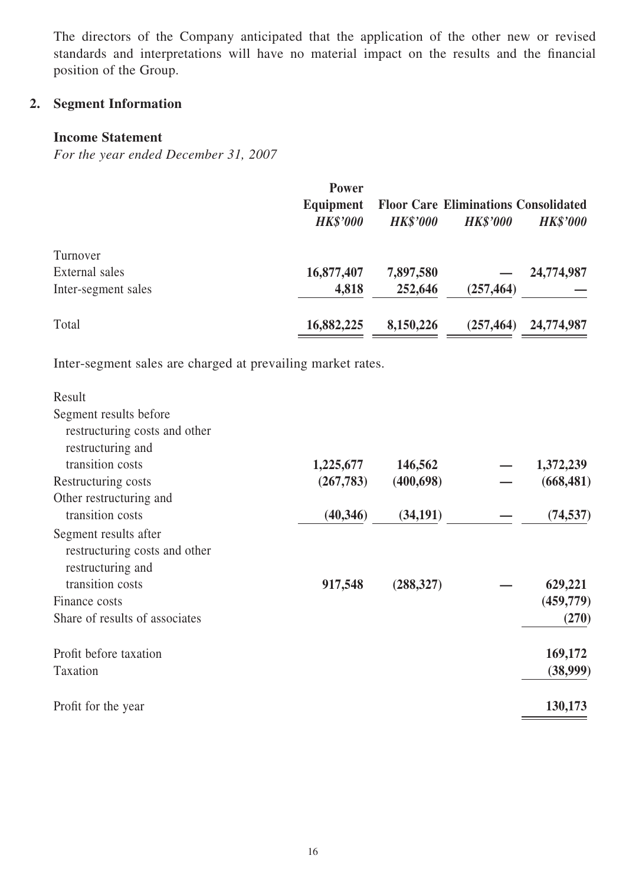The directors of the Company anticipated that the application of the other new or revised standards and interpretations will have no material impact on the results and the financial position of the Group.

# **2. Segment Information**

### **Income Statement**

*For the year ended December 31, 2007*

|                     | <b>Power</b><br>Equipment<br><b>HK\$'000</b> | <b>HK\$'000</b> | <b>Floor Care Eliminations Consolidated</b><br><b>HK\$'000</b> | <b>HK\$'000</b> |
|---------------------|----------------------------------------------|-----------------|----------------------------------------------------------------|-----------------|
| Turnover            |                                              |                 |                                                                |                 |
| External sales      | 16,877,407                                   | 7,897,580       |                                                                | 24,774,987      |
| Inter-segment sales | 4,818                                        | 252,646         | (257, 464)                                                     |                 |
| Total               | 16,882,225                                   | 8,150,226       | (257, 464)                                                     | 24,774,987      |

Inter-segment sales are charged at prevailing market rates.

| Result                         |           |            |            |
|--------------------------------|-----------|------------|------------|
| Segment results before         |           |            |            |
| restructuring costs and other  |           |            |            |
| restructuring and              |           |            |            |
| transition costs               | 1,225,677 | 146,562    | 1,372,239  |
| Restructuring costs            | (267,783) | (400, 698) | (668, 481) |
| Other restructuring and        |           |            |            |
| transition costs               | (40, 346) | (34, 191)  | (74, 537)  |
| Segment results after          |           |            |            |
| restructuring costs and other  |           |            |            |
| restructuring and              |           |            |            |
| transition costs               | 917,548   | (288, 327) | 629,221    |
| Finance costs                  |           |            | (459,779)  |
| Share of results of associates |           |            | (270)      |
| Profit before taxation         |           |            | 169,172    |
| Taxation                       |           |            | (38,999)   |
| Profit for the year            |           |            | 130,173    |
|                                |           |            |            |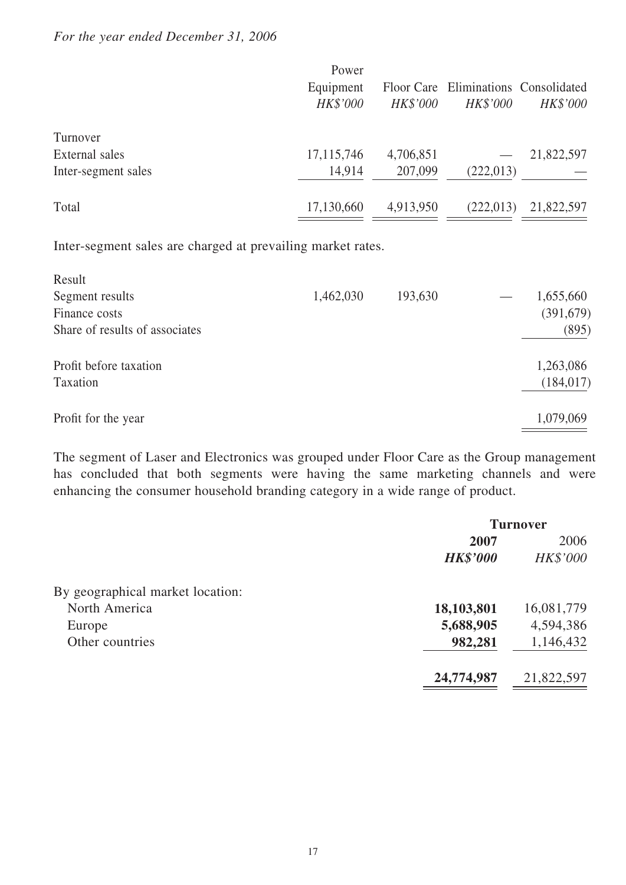### *For the year ended December 31, 2006*

| Power           |                 |                 |                                      |
|-----------------|-----------------|-----------------|--------------------------------------|
| Equipment       |                 |                 |                                      |
| <b>HK\$'000</b> | <b>HK\$'000</b> | <b>HK\$'000</b> | HK\$'000                             |
|                 |                 |                 |                                      |
| 17, 115, 746    | 4,706,851       |                 | 21,822,597                           |
| 14,914          | 207,099         | (222, 013)      |                                      |
| 17,130,660      | 4,913,950       | (222, 013)      | 21,822,597                           |
|                 |                 |                 | Floor Care Eliminations Consolidated |

Inter-segment sales are charged at prevailing market rates.

| 1,462,030 | 193,630 | 1,655,660  |
|-----------|---------|------------|
|           |         | (391, 679) |
|           |         | (895)      |
|           |         | 1,263,086  |
|           |         | (184, 017) |
|           |         | 1,079,069  |
|           |         |            |

The segment of Laser and Electronics was grouped under Floor Care as the Group management has concluded that both segments were having the same marketing channels and were enhancing the consumer household branding category in a wide range of product.

|                                  | <b>Turnover</b> |            |  |
|----------------------------------|-----------------|------------|--|
|                                  | 2007            | 2006       |  |
|                                  | <b>HK\$'000</b> | HK\$'000   |  |
| By geographical market location: |                 |            |  |
| North America                    | 18,103,801      | 16,081,779 |  |
| Europe                           | 5,688,905       | 4,594,386  |  |
| Other countries                  | 982,281         | 1,146,432  |  |
|                                  | 24,774,987      | 21,822,597 |  |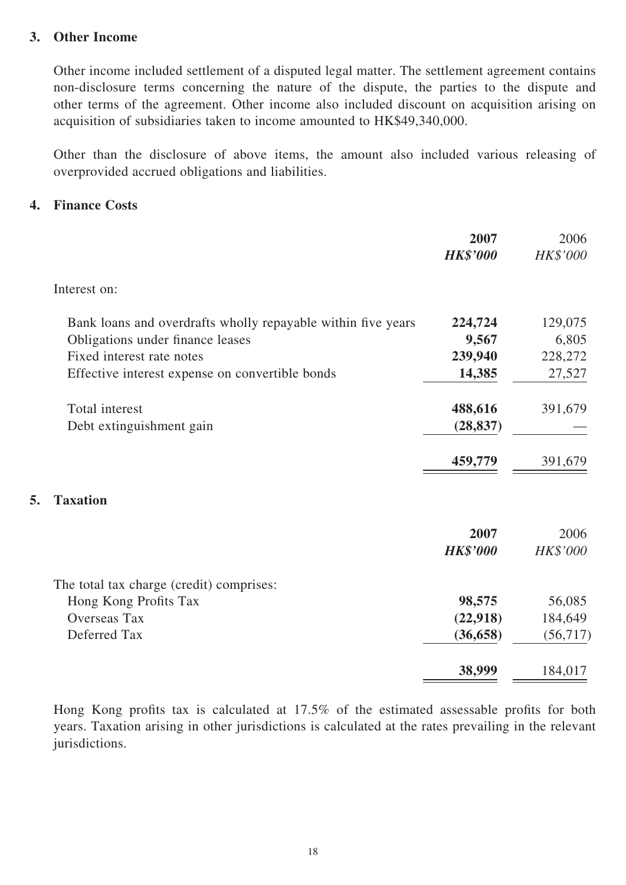### **3. Other Income**

Other income included settlement of a disputed legal matter. The settlement agreement contains non-disclosure terms concerning the nature of the dispute, the parties to the dispute and other terms of the agreement. Other income also included discount on acquisition arising on acquisition of subsidiaries taken to income amounted to HK\$49,340,000.

Other than the disclosure of above items, the amount also included various releasing of overprovided accrued obligations and liabilities.

### **4. Finance Costs**

**5. Taxation** 

|                                                              | 2007            | 2006            |
|--------------------------------------------------------------|-----------------|-----------------|
|                                                              | <b>HK\$'000</b> | <b>HK\$'000</b> |
| Interest on:                                                 |                 |                 |
| Bank loans and overdrafts wholly repayable within five years | 224,724         | 129,075         |
| Obligations under finance leases                             | 9,567           | 6,805           |
| Fixed interest rate notes                                    | 239,940         | 228,272         |
| Effective interest expense on convertible bonds              | 14,385          | 27,527          |
| Total interest                                               | 488,616         | 391,679         |
| Debt extinguishment gain                                     | (28, 837)       |                 |
|                                                              | 459,779         | 391,679         |
| <b>Taxation</b>                                              |                 |                 |
|                                                              | 2007            | 2006            |
|                                                              | <b>HK\$'000</b> | HK\$'000        |
| The total tax charge (credit) comprises:                     |                 |                 |
| Hong Kong Profits Tax                                        | 98,575          | 56,085          |
| <b>Overseas Tax</b>                                          | (22,918)        | 184,649         |
| Deferred Tax                                                 | (36, 658)       | (56, 717)       |
|                                                              | 38,999          | 184,017         |

Hong Kong profits tax is calculated at  $17.5\%$  of the estimated assessable profits for both years. Taxation arising in other jurisdictions is calculated at the rates prevailing in the relevant jurisdictions.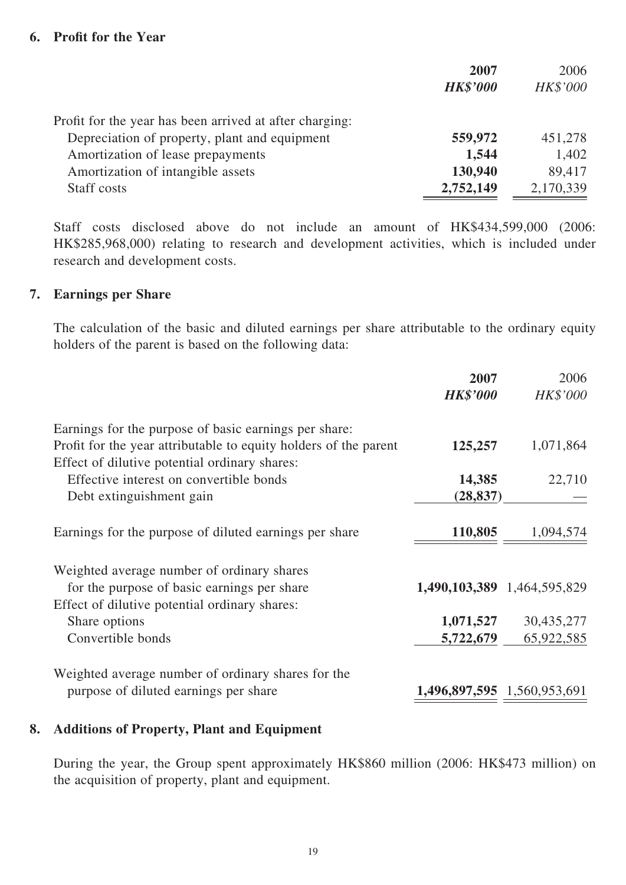### **6.** Profit for the Year

|                                                         | 2007            | 2006            |
|---------------------------------------------------------|-----------------|-----------------|
|                                                         | <b>HK\$'000</b> | <b>HK\$'000</b> |
| Profit for the year has been arrived at after charging: |                 |                 |
| Depreciation of property, plant and equipment           | 559,972         | 451,278         |
| Amortization of lease prepayments                       | 1,544           | 1,402           |
| Amortization of intangible assets                       | 130,940         | 89,417          |
| Staff costs                                             | 2,752,149       | 2,170,339       |

Staff costs disclosed above do not include an amount of HK\$434,599,000 (2006: HK\$285,968,000) relating to research and development activities, which is included under research and development costs.

#### **7. Earnings per Share**

The calculation of the basic and diluted earnings per share attributable to the ordinary equity holders of the parent is based on the following data:

|                                                                  | 2007                        | 2006       |
|------------------------------------------------------------------|-----------------------------|------------|
|                                                                  | <b>HK\$'000</b>             | HK\$'000   |
| Earnings for the purpose of basic earnings per share:            |                             |            |
| Profit for the year attributable to equity holders of the parent | 125,257                     | 1,071,864  |
| Effect of dilutive potential ordinary shares:                    |                             |            |
| Effective interest on convertible bonds                          | 14,385                      | 22,710     |
| Debt extinguishment gain                                         | (28, 837)                   |            |
| Earnings for the purpose of diluted earnings per share           | 110,805                     | 1,094,574  |
| Weighted average number of ordinary shares                       |                             |            |
| for the purpose of basic earnings per share                      | 1,490,103,389 1,464,595,829 |            |
| Effect of dilutive potential ordinary shares:                    |                             |            |
| Share options                                                    | 1,071,527                   | 30,435,277 |
| Convertible bonds                                                | 5,722,679                   | 65,922,585 |
| Weighted average number of ordinary shares for the               |                             |            |
| purpose of diluted earnings per share                            | 1,496,897,595 1,560,953,691 |            |

#### **8. Additions of Property, Plant and Equipment**

During the year, the Group spent approximately HK\$860 million (2006: HK\$473 million) on the acquisition of property, plant and equipment.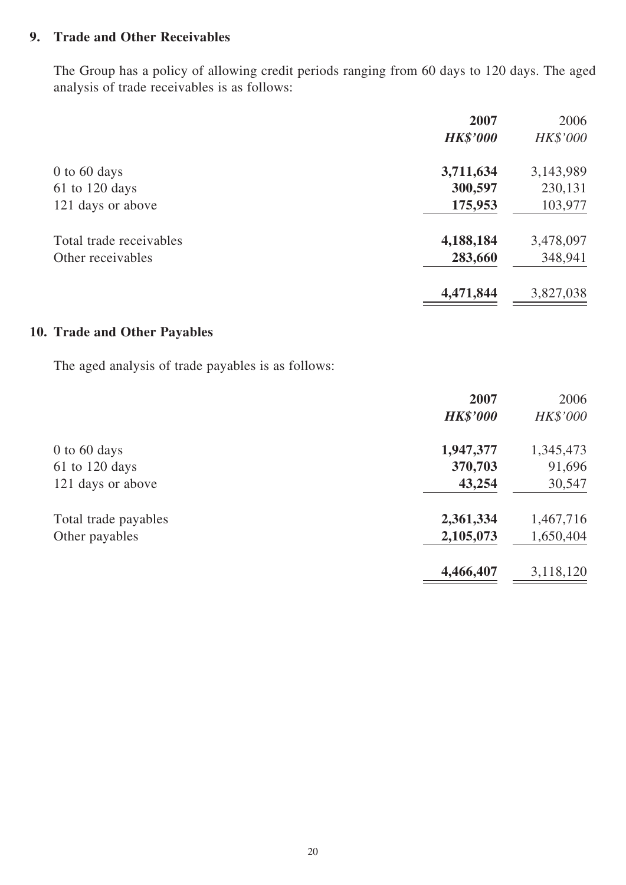## **9. Trade and Other Receivables**

The Group has a policy of allowing credit periods ranging from 60 days to 120 days. The aged analysis of trade receivables is as follows:

|                         | 2007            | 2006      |
|-------------------------|-----------------|-----------|
|                         | <b>HK\$'000</b> | HK\$'000  |
| $0$ to 60 days          | 3,711,634       | 3,143,989 |
| $61$ to 120 days        | 300,597         | 230,131   |
| 121 days or above       | 175,953         | 103,977   |
| Total trade receivables | 4,188,184       | 3,478,097 |
| Other receivables       | 283,660         | 348,941   |
|                         | 4,471,844       | 3,827,038 |

## **10. Trade and Other Payables**

The aged analysis of trade payables is as follows:

|                      | 2007            | 2006      |
|----------------------|-----------------|-----------|
|                      | <b>HK\$'000</b> | HK\$'000  |
| $0$ to 60 days       | 1,947,377       | 1,345,473 |
| $61$ to $120$ days   | 370,703         | 91,696    |
| 121 days or above    | 43,254          | 30,547    |
| Total trade payables | 2,361,334       | 1,467,716 |
| Other payables       | 2,105,073       | 1,650,404 |
|                      | 4,466,407       | 3,118,120 |